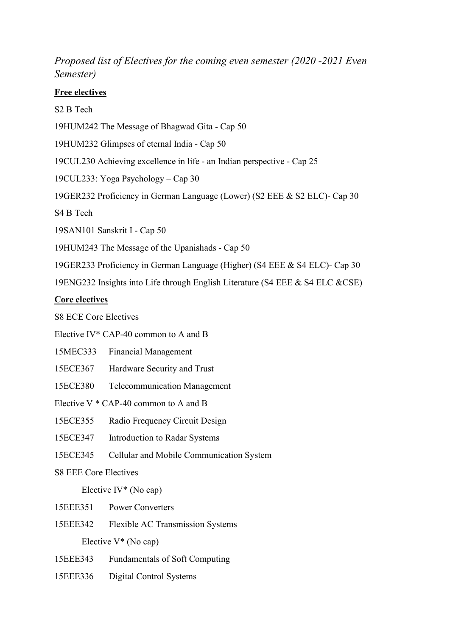## Proposed list of Electives for the coming even semester (2020 -2021 Even Semester)

## Free electives

S2 B Tech

19HUM242 The Message of Bhagwad Gita - Cap 50

19HUM232 Glimpses of eternal India - Cap 50

19CUL230 Achieving excellence in life - an Indian perspective - Cap 25

19CUL233: Yoga Psychology – Cap 30

19GER232 Proficiency in German Language (Lower) (S2 EEE & S2 ELC)- Cap 30

S4 B Tech

19SAN101 Sanskrit I - Cap 50

19HUM243 The Message of the Upanishads - Cap 50

19GER233 Proficiency in German Language (Higher) (S4 EEE & S4 ELC)- Cap 30

19ENG232 Insights into Life through English Literature (S4 EEE & S4 ELC &CSE)

## Core electives

S8 ECE Core Electives

Elective IV\* CAP-40 common to A and B

- 15MEC333 Financial Management
- 15ECE367 Hardware Security and Trust

15ECE380 Telecommunication Management

Elective  $V * CAP-40$  common to A and B

15ECE355 Radio Frequency Circuit Design

15ECE347 Introduction to Radar Systems

15ECE345 Cellular and Mobile Communication System

S8 EEE Core Electives

Elective IV $*$  (No cap)

15EEE351 Power Converters

15EEE342 Flexible AC Transmission Systems

Elective V\* (No cap)

- 15EEE343 Fundamentals of Soft Computing
- 15EEE336 Digital Control Systems